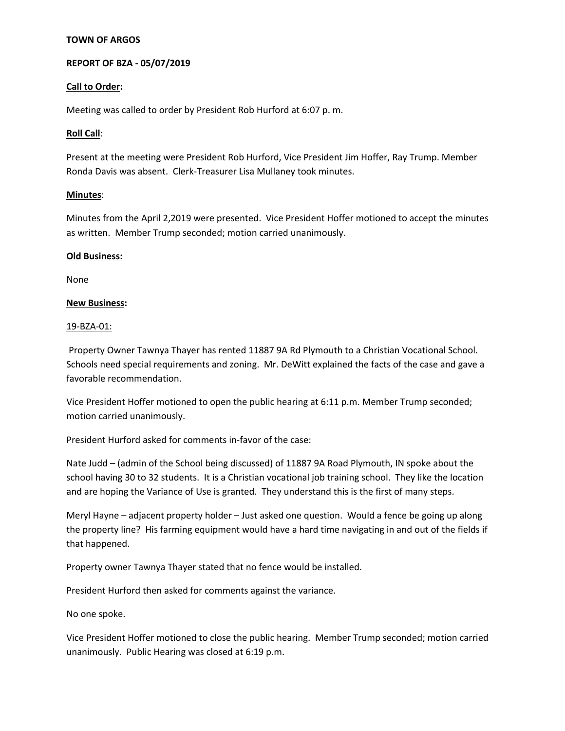# **TOWN OF ARGOS**

# **REPORT OF BZA - 05/07/2019**

### **Call to Order:**

Meeting was called to order by President Rob Hurford at 6:07 p. m.

### **Roll Call**:

Present at the meeting were President Rob Hurford, Vice President Jim Hoffer, Ray Trump. Member Ronda Davis was absent. Clerk-Treasurer Lisa Mullaney took minutes.

### **Minutes**:

Minutes from the April 2,2019 were presented. Vice President Hoffer motioned to accept the minutes as written. Member Trump seconded; motion carried unanimously.

### **Old Business:**

None

### **New Business:**

#### 19-BZA-01:

Property Owner Tawnya Thayer has rented 11887 9A Rd Plymouth to a Christian Vocational School. Schools need special requirements and zoning. Mr. DeWitt explained the facts of the case and gave a favorable recommendation.

Vice President Hoffer motioned to open the public hearing at 6:11 p.m. Member Trump seconded; motion carried unanimously.

President Hurford asked for comments in-favor of the case:

Nate Judd – (admin of the School being discussed) of 11887 9A Road Plymouth, IN spoke about the school having 30 to 32 students. It is a Christian vocational job training school. They like the location and are hoping the Variance of Use is granted. They understand this is the first of many steps.

Meryl Hayne – adjacent property holder – Just asked one question. Would a fence be going up along the property line? His farming equipment would have a hard time navigating in and out of the fields if that happened.

Property owner Tawnya Thayer stated that no fence would be installed.

President Hurford then asked for comments against the variance.

No one spoke.

Vice President Hoffer motioned to close the public hearing. Member Trump seconded; motion carried unanimously. Public Hearing was closed at 6:19 p.m.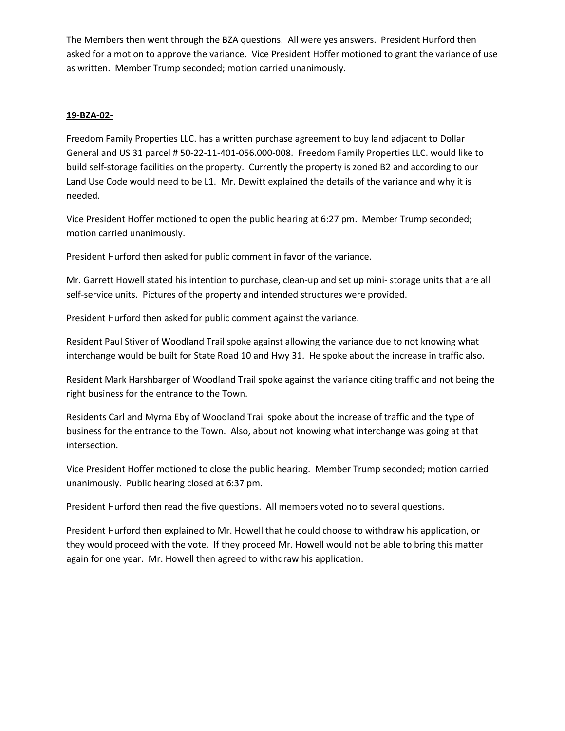The Members then went through the BZA questions. All were yes answers. President Hurford then asked for a motion to approve the variance. Vice President Hoffer motioned to grant the variance of use as written. Member Trump seconded; motion carried unanimously.

# **19-BZA-02-**

Freedom Family Properties LLC. has a written purchase agreement to buy land adjacent to Dollar General and US 31 parcel # 50-22-11-401-056.000-008. Freedom Family Properties LLC. would like to build self-storage facilities on the property. Currently the property is zoned B2 and according to our Land Use Code would need to be L1. Mr. Dewitt explained the details of the variance and why it is needed.

Vice President Hoffer motioned to open the public hearing at 6:27 pm. Member Trump seconded; motion carried unanimously.

President Hurford then asked for public comment in favor of the variance.

Mr. Garrett Howell stated his intention to purchase, clean-up and set up mini- storage units that are all self-service units. Pictures of the property and intended structures were provided.

President Hurford then asked for public comment against the variance.

Resident Paul Stiver of Woodland Trail spoke against allowing the variance due to not knowing what interchange would be built for State Road 10 and Hwy 31. He spoke about the increase in traffic also.

Resident Mark Harshbarger of Woodland Trail spoke against the variance citing traffic and not being the right business for the entrance to the Town.

Residents Carl and Myrna Eby of Woodland Trail spoke about the increase of traffic and the type of business for the entrance to the Town. Also, about not knowing what interchange was going at that intersection.

Vice President Hoffer motioned to close the public hearing. Member Trump seconded; motion carried unanimously. Public hearing closed at 6:37 pm.

President Hurford then read the five questions. All members voted no to several questions.

President Hurford then explained to Mr. Howell that he could choose to withdraw his application, or they would proceed with the vote. If they proceed Mr. Howell would not be able to bring this matter again for one year. Mr. Howell then agreed to withdraw his application.